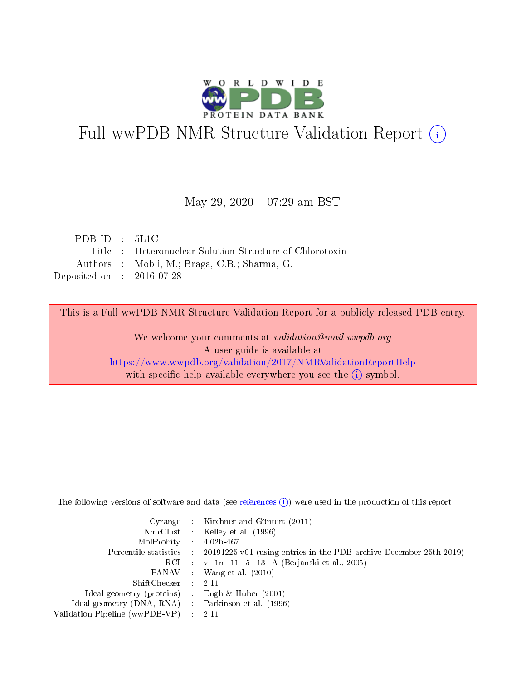

# Full wwPDB NMR Structure Validation Report (i)

#### May 29, 2020 - 07:29 am BST

| PDBID : 5L1C                |                                                         |
|-----------------------------|---------------------------------------------------------|
|                             | Title : Heteronuclear Solution Structure of Chlorotoxin |
|                             | Authors : Mobli, M.; Braga, C.B.; Sharma, G.            |
| Deposited on : $2016-07-28$ |                                                         |

This is a Full wwPDB NMR Structure Validation Report for a publicly released PDB entry.

We welcome your comments at *validation@mail.wwpdb.org* A user guide is available at <https://www.wwpdb.org/validation/2017/NMRValidationReportHelp> with specific help available everywhere you see the  $(i)$  symbol.

The following versions of software and data (see [references](https://www.wwpdb.org/validation/2017/NMRValidationReportHelp#references)  $(1)$ ) were used in the production of this report:

|                                                     | Cyrange : Kirchner and Güntert $(2011)$                                                    |
|-----------------------------------------------------|--------------------------------------------------------------------------------------------|
|                                                     | NmrClust : Kelley et al. (1996)                                                            |
| $MolProbability$ 4.02b-467                          |                                                                                            |
|                                                     | Percentile statistics : 20191225.v01 (using entries in the PDB archive December 25th 2019) |
|                                                     | RCI : v 1n 11 5 13 A (Berjanski et al., 2005)                                              |
|                                                     | PANAV Wang et al. (2010)                                                                   |
| $ShiftChecker$ 2.11                                 |                                                                                            |
| Ideal geometry (proteins) : Engh $\&$ Huber (2001)  |                                                                                            |
| Ideal geometry (DNA, RNA) : Parkinson et al. (1996) |                                                                                            |
| Validation Pipeline (wwPDB-VP)                      | $\sim 2.11$                                                                                |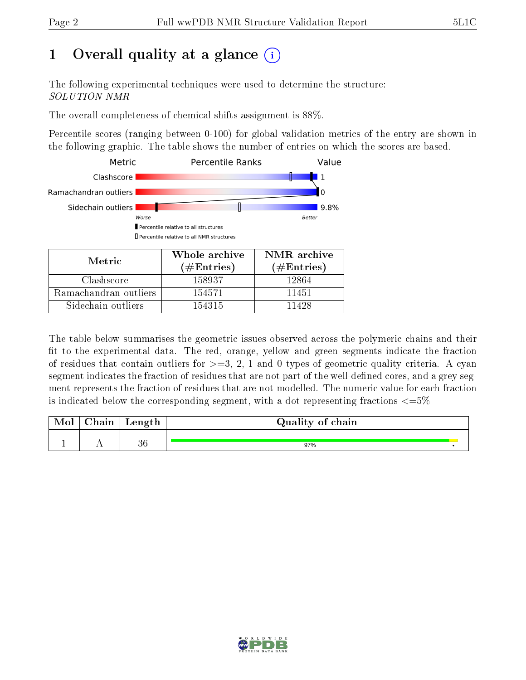## 1 [O](https://www.wwpdb.org/validation/2017/NMRValidationReportHelp#overall_quality)verall quality at a glance (i)

The following experimental techniques were used to determine the structure: SOLUTION NMR

The overall completeness of chemical shifts assignment is 88%.

Percentile scores (ranging between 0-100) for global validation metrics of the entry are shown in the following graphic. The table shows the number of entries on which the scores are based.



The table below summarises the geometric issues observed across the polymeric chains and their fit to the experimental data. The red, orange, yellow and green segments indicate the fraction of residues that contain outliers for  $>=3, 2, 1$  and 0 types of geometric quality criteria. A cyan segment indicates the fraction of residues that are not part of the well-defined cores, and a grey segment represents the fraction of residues that are not modelled. The numeric value for each fraction is indicated below the corresponding segment, with a dot representing fractions  $\epsilon = 5\%$ 

| ${\rm Chain}$ | Length | Quality of chain |  |
|---------------|--------|------------------|--|
|               | റല     | 97%              |  |

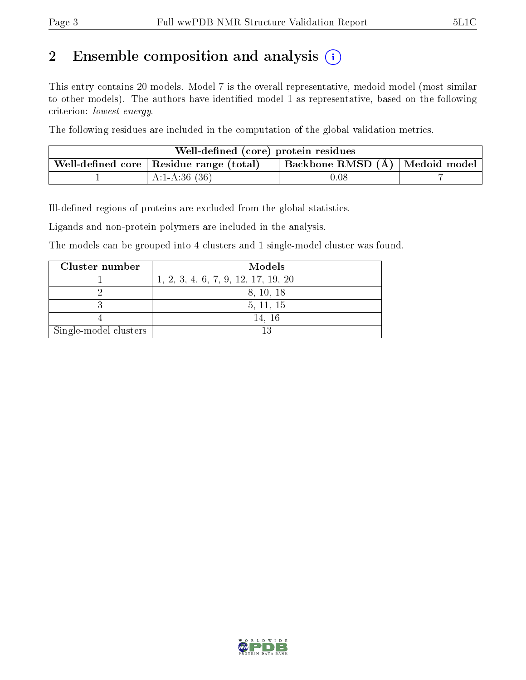## 2 Ensemble composition and analysis  $(i)$

This entry contains 20 models. Model 7 is the overall representative, medoid model (most similar to other models). The authors have identified model 1 as representative, based on the following criterion: lowest energy.

The following residues are included in the computation of the global validation metrics.

| Well-defined (core) protein residues                                                          |                 |          |  |
|-----------------------------------------------------------------------------------------------|-----------------|----------|--|
| Backbone RMSD $(A)$   Medoid model<br>. Well-defined core $\mid$ Residue range (total) $\mid$ |                 |          |  |
|                                                                                               | A:1-A:36 $(36)$ | $0.08\,$ |  |

Ill-defined regions of proteins are excluded from the global statistics.

Ligands and non-protein polymers are included in the analysis.

The models can be grouped into 4 clusters and 1 single-model cluster was found.

| Cluster number        | Models                              |
|-----------------------|-------------------------------------|
|                       | 1, 2, 3, 4, 6, 7, 9, 12, 17, 19, 20 |
|                       | 8, 10, 18                           |
|                       | 5, 11, 15                           |
|                       | 14, 16                              |
| Single-model clusters | 19                                  |

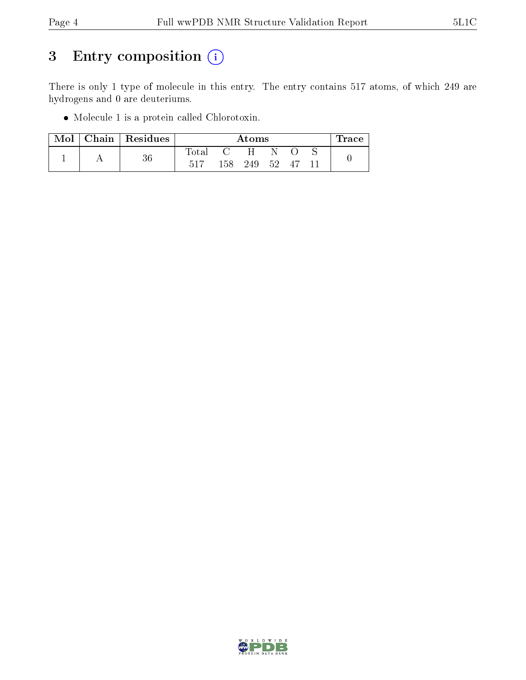## 3 Entry composition (i)

There is only 1 type of molecule in this entry. The entry contains 517 atoms, of which 249 are hydrogens and 0 are deuteriums.

Molecule 1 is a protein called Chlorotoxin.

| Mol | $Chain   Residues$ |                |              | $\rm{Atoms}$ |      |    | race . |
|-----|--------------------|----------------|--------------|--------------|------|----|--------|
|     | 36                 | $_{\rm Total}$ | $\mathbf{C}$ | $-H$         |      |    |        |
|     |                    | 517            | 158          | 249          | - 52 | 47 |        |

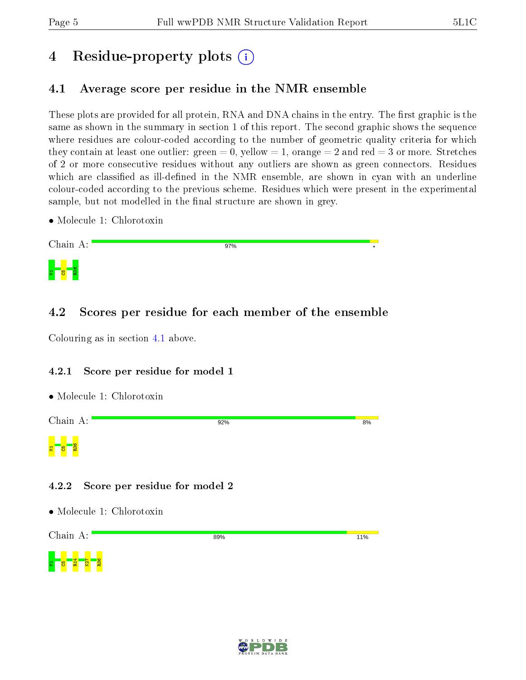## 4 Residue-property plots  $\binom{1}{1}$

## <span id="page-4-0"></span>4.1 Average score per residue in the NMR ensemble

These plots are provided for all protein, RNA and DNA chains in the entry. The first graphic is the same as shown in the summary in section 1 of this report. The second graphic shows the sequence where residues are colour-coded according to the number of geometric quality criteria for which they contain at least one outlier: green  $= 0$ , yellow  $= 1$ , orange  $= 2$  and red  $= 3$  or more. Stretches of 2 or more consecutive residues without any outliers are shown as green connectors. Residues which are classified as ill-defined in the NMR ensemble, are shown in cyan with an underline colour-coded according to the previous scheme. Residues which were present in the experimental sample, but not modelled in the final structure are shown in grey.

• Molecule 1: Chlorotoxin



## 4.2 Scores per residue for each member of the ensemble

Colouring as in section [4.1](#page-4-0) above.

#### 4.2.1 Score per residue for model 1





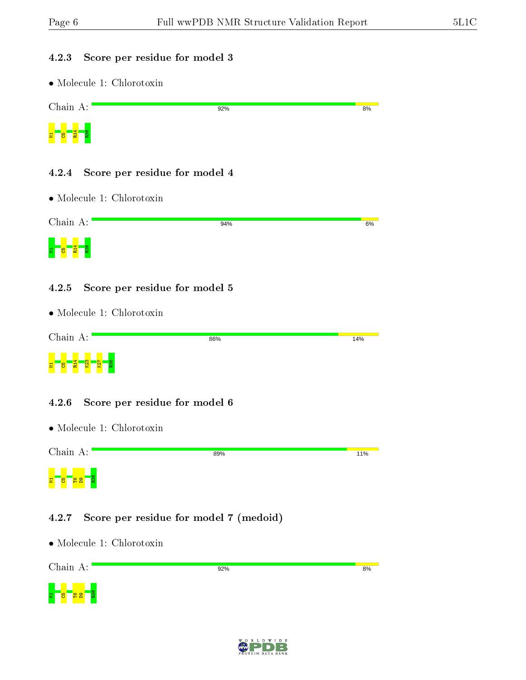#### 4.2.3 Score per residue for model 3

• Molecule 1: Chlorotoxin

| Chain A:     | 92% | 8% |
|--------------|-----|----|
| ₩.<br>물<br>မ |     |    |

#### 4.2.4 Score per residue for model 4

• Molecule 1: Chlorotoxin

| Chain A: | 94% | 6% |
|----------|-----|----|
| œ<br>Æ   |     |    |

#### 4.2.5 Score per residue for model 5

• Molecule 1: Chlorotoxin

| Chain A:                                              | 86% | 14% |
|-------------------------------------------------------|-----|-----|
| $\overline{\mathbf{g}}$<br>◅<br>r<br>쿹<br>冒<br>兽<br>× |     |     |

#### 4.2.6 Score per residue for model 6

• Molecule 1: Chlorotoxin



### 4.2.7 Score per residue for model 7 (medoid)

• Molecule 1: Chlorotoxin



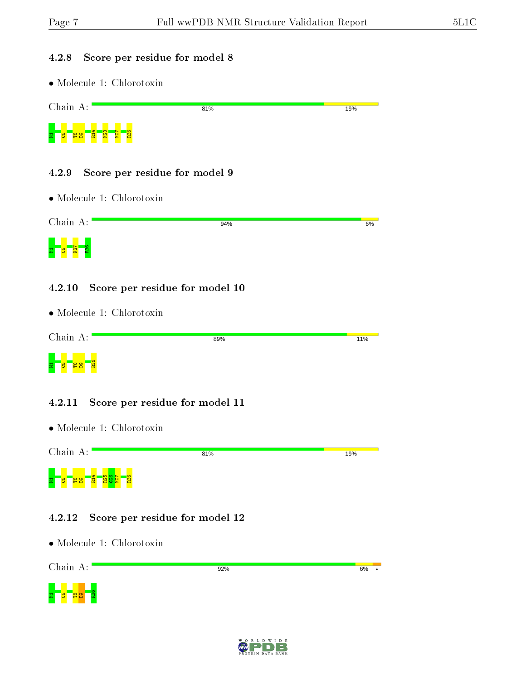#### 4.2.8 Score per residue for model 8

• Molecule 1: Chlorotoxin

| Chain A:                                   | 81% | 19% |
|--------------------------------------------|-----|-----|
| K23<br>K27<br>$\mathbf{F}$<br>8<br>불<br>မိ | R36 |     |

#### 4.2.9 Score per residue for model 9

• Molecule 1: Chlorotoxin

| Chain A:         | 94% | 6% |
|------------------|-----|----|
| E<br>v<br>E<br>O |     |    |

#### 4.2.10 Score per residue for model 10

• Molecule 1: Chlorotoxin

| Chain A:                                        | 89% | 11% |
|-------------------------------------------------|-----|-----|
| $\mathbf{S}$<br>Ξ<br>A<br>75<br><u>ім,</u><br>- |     |     |

#### 4.2.11 Score per residue for model 11

• Molecule 1: Chlorotoxin



#### 4.2.12 Score per residue for model 12

• Molecule 1: Chlorotoxin



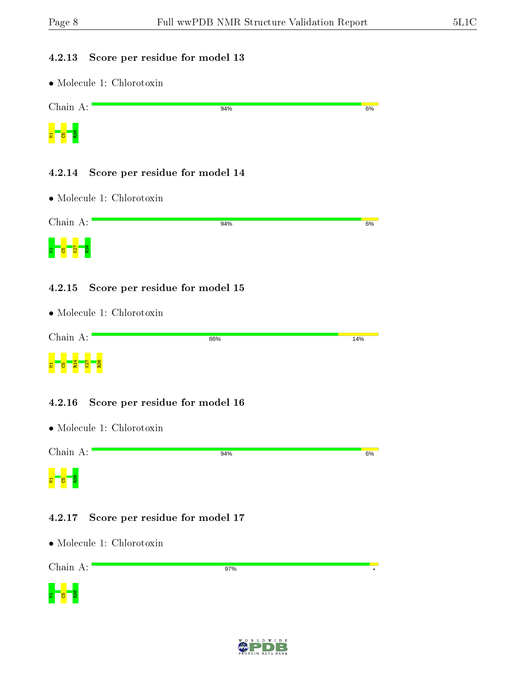#### 4.2.13 Score per residue for model 13

• Molecule 1: Chlorotoxin

| Chain A: | 94% | 6% |
|----------|-----|----|
| 륳<br>5   |     |    |

#### 4.2.14 Score per residue for model 14

• Molecule 1: Chlorotoxin

| Chain A: | 94% | 6% |
|----------|-----|----|
| œ<br>×   |     |    |

#### 4.2.15 Score per residue for model 15

• Molecule 1: Chlorotoxin

| Chain A:                                   | 86% | 14% |
|--------------------------------------------|-----|-----|
| 불<br>쿹<br><u>ହା</u><br><mark>9</mark><br>× |     |     |

#### 4.2.16 Score per residue for model 16

• Molecule 1: Chlorotoxin

Chain A: 94%  $6%$  $\frac{1}{\sqrt{2}}$   $\frac{1}{\sqrt{2}}$ 

#### 4.2.17 Score per residue for model 17

• Molecule 1: Chlorotoxin

Chain A:

97%



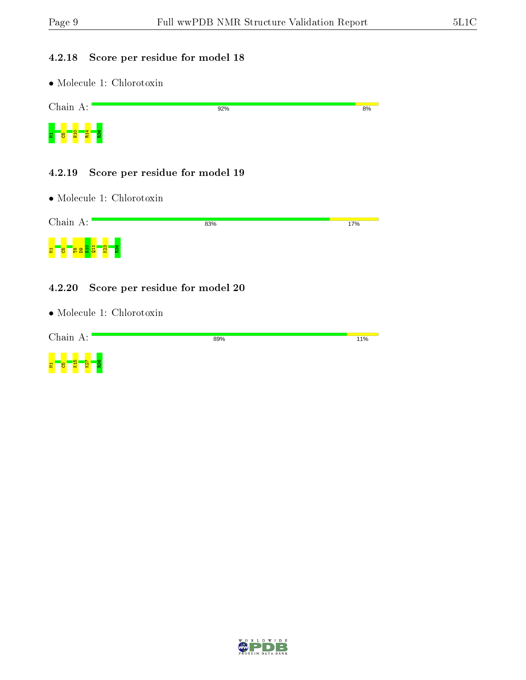#### 4.2.18 Score per residue for model 18

• Molecule 1: Chlorotoxin



#### 4.2.19 Score per residue for model 19

• Molecule 1: Chlorotoxin

| Chain A:                      | 83% | 17% |
|-------------------------------|-----|-----|
| <sub>co</sub><br>불<br>မိ<br>Ĥ |     |     |

#### 4.2.20 Score per residue for model 20

• Molecule 1: Chlorotoxin



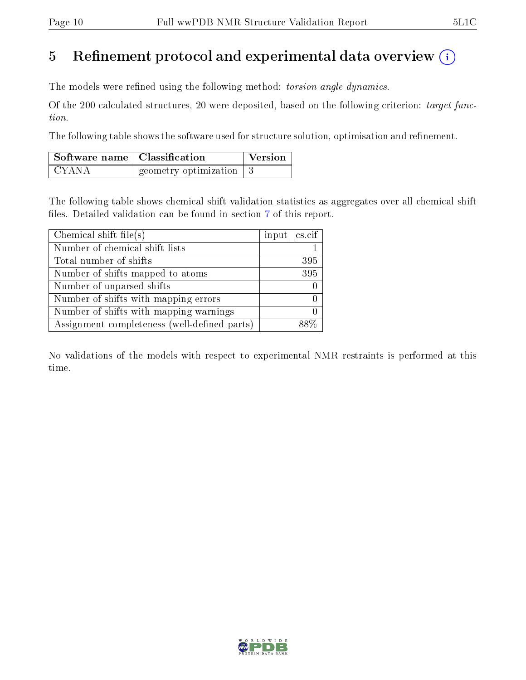## 5 Refinement protocol and experimental data overview  $\binom{1}{k}$

The models were refined using the following method: torsion angle dynamics.

Of the 200 calculated structures, 20 were deposited, based on the following criterion: target function.

The following table shows the software used for structure solution, optimisation and refinement.

| $\vert$ Software name $\vert$ Classification |                                         | <b>Version</b> |
|----------------------------------------------|-----------------------------------------|----------------|
| I CYANA                                      | geometry optimization $\vert 3 \rangle$ |                |

The following table shows chemical shift validation statistics as aggregates over all chemical shift files. Detailed validation can be found in section [7](#page-13-0) of this report.

| Chemical shift file(s)                       | input $\text{cs.} \text{cif}$ |
|----------------------------------------------|-------------------------------|
| Number of chemical shift lists               |                               |
| Total number of shifts                       | 395                           |
| Number of shifts mapped to atoms             | $\overline{395}$              |
| Number of unparsed shifts                    |                               |
| Number of shifts with mapping errors         |                               |
| Number of shifts with mapping warnings       |                               |
| Assignment completeness (well-defined parts) |                               |

No validations of the models with respect to experimental NMR restraints is performed at this time.

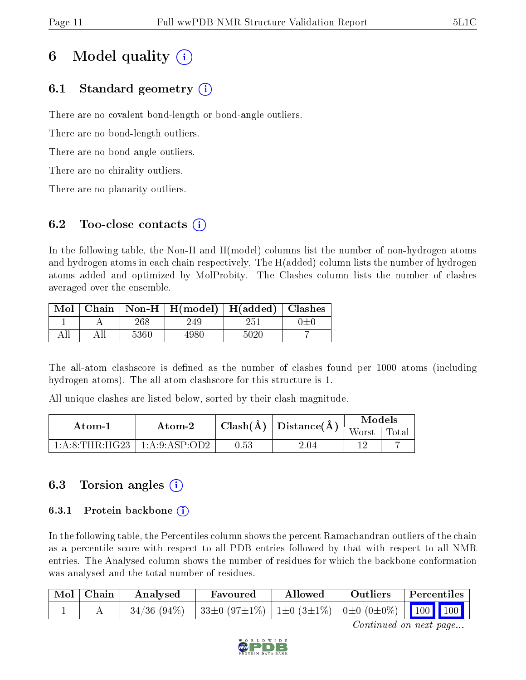## 6 Model quality  $(i)$

## 6.1 Standard geometry  $(i)$

There are no covalent bond-length or bond-angle outliers.

There are no bond-length outliers.

There are no bond-angle outliers.

There are no chirality outliers.

There are no planarity outliers.

## 6.2 Too-close contacts  $(i)$

In the following table, the Non-H and H(model) columns list the number of non-hydrogen atoms and hydrogen atoms in each chain respectively. The H(added) column lists the number of hydrogen atoms added and optimized by MolProbity. The Clashes column lists the number of clashes averaged over the ensemble.

|  |      | Mol   Chain   Non-H   H(model)   H(added)   Clashes |      |  |
|--|------|-----------------------------------------------------|------|--|
|  | 268  | 249.                                                | 251  |  |
|  | 5360 | +980-                                               | 5020 |  |

The all-atom clashscore is defined as the number of clashes found per 1000 atoms (including hydrogen atoms). The all-atom clashscore for this structure is 1.

All unique clashes are listed below, sorted by their clash magnitude.

| Atom-1                               | Atom-2 |      | $\left\lceil \ \text{Clash}(\text{Å}) \ \right\rceil$ Distance $\left( \text{Å} \right)$ | Models        |  |
|--------------------------------------|--------|------|------------------------------------------------------------------------------------------|---------------|--|
|                                      |        |      |                                                                                          | Worst   Total |  |
| $1:A:8:THR:HG23 \perp 1:A:9:ASP:OD2$ |        | 0.53 | 2.04                                                                                     |               |  |

## 6.3 Torsion angles (i)

#### 6.3.1 Protein backbone  $(i)$

In the following table, the Percentiles column shows the percent Ramachandran outliers of the chain as a percentile score with respect to all PDB entries followed by that with respect to all NMR entries. The Analysed column shows the number of residues for which the backbone conformation was analysed and the total number of residues.

| Mol   Chain | Analysed | Favoured                                               | Allowed | Outliers | $\vert$ Percentiles $\vert$ |
|-------------|----------|--------------------------------------------------------|---------|----------|-----------------------------|
|             |          | 34/36 (94%) 33±0 (97±1%) 1±0 (3±1%) 0±0 (0±0%) 100 100 |         |          |                             |

Continued on next page...

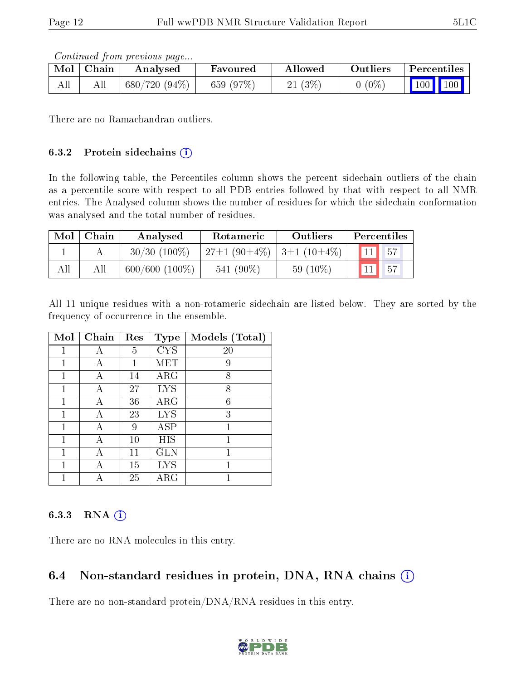Continued from previous page...

| Mol | ∣ Chain | Analysed        | Favoured  | Allowed   | Outliers   | Percentiles                  |
|-----|---------|-----------------|-----------|-----------|------------|------------------------------|
| All | All     | $680/720(94\%)$ | 659 (97%) | $21(3\%)$ | $0\; (0\%$ | $\mid$ 100 $\mid$ 100 $\mid$ |

There are no Ramachandran outliers.

#### 6.3.2 Protein sidechains  $(i)$

In the following table, the Percentiles column shows the percent sidechain outliers of the chain as a percentile score with respect to all PDB entries followed by that with respect to all NMR entries. The Analysed column shows the number of residues for which the sidechain conformation was analysed and the total number of residues.

| Mol | Chain | <b>Rotameric</b><br>Analysed |                                                   | Outliers   | Percentiles |
|-----|-------|------------------------------|---------------------------------------------------|------------|-------------|
|     |       | $30/30$ (100\%)              | $27\pm1$ (90 $\pm4\%$ )   3 $\pm1$ (10 $\pm4\%$ ) |            |             |
| All | All   | $600/600(100\%)$             | $541(90\%)$                                       | $59(10\%)$ | 57          |

All 11 unique residues with a non-rotameric sidechain are listed below. They are sorted by the frequency of occurrence in the ensemble.

| Mol | Chain | Res | <b>Type</b> | Models (Total) |
|-----|-------|-----|-------------|----------------|
| 1   | А     | 5   | <b>CYS</b>  | 20             |
| 1   | А     | 1   | MET         | 9              |
| 1   | А     | 14  | $\rm{ARG}$  | 8              |
| 1   | А     | 27  | <b>LYS</b>  | 8              |
| 1   | А     | 36  | $\rm{ARG}$  | 6              |
| 1   | А     | 23  | <b>LYS</b>  | 3              |
| 1   | А     | 9   | ASP         | 1              |
| 1   | А     | 10  | HIS         | 1              |
| 1   | А     | 11  | <b>GLN</b>  | 1              |
| 1   | А     | 15  | <b>LYS</b>  | 1              |
|     |       | 25  | $\rm{ARG}$  |                |

#### 6.3.3 RNA  $(i)$

There are no RNA molecules in this entry.

## 6.4 Non-standard residues in protein, DNA, RNA chains (i)

There are no non-standard protein/DNA/RNA residues in this entry.

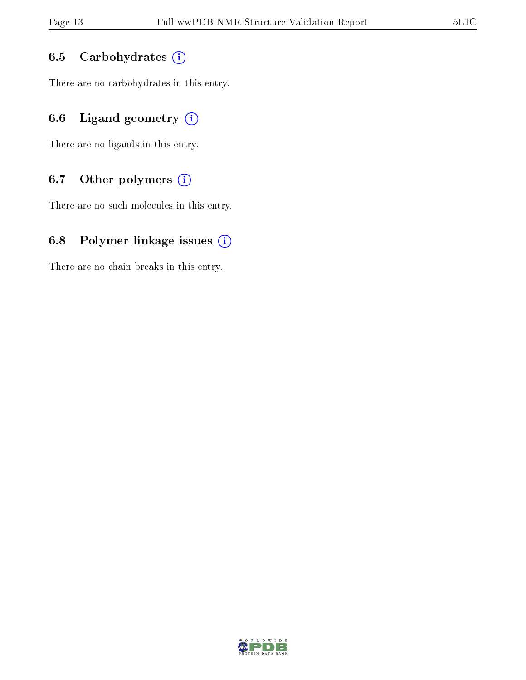### 6.5 Carbohydrates (i)

There are no carbohydrates in this entry.

## 6.6 Ligand geometry  $(i)$

There are no ligands in this entry.

## 6.7 [O](https://www.wwpdb.org/validation/2017/NMRValidationReportHelp#nonstandard_residues_and_ligands)ther polymers (i)

There are no such molecules in this entry.

### 6.8 Polymer linkage issues  $(i)$

There are no chain breaks in this entry.

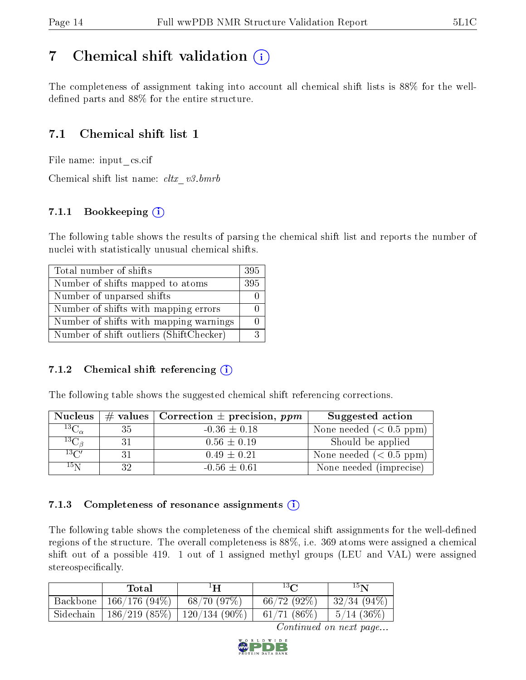## <span id="page-13-0"></span>7 Chemical shift validation  $\left( \begin{array}{c} \overline{1} \end{array} \right)$

The completeness of assignment taking into account all chemical shift lists is 88% for the welldefined parts and  $88\%$  for the entire structure.

## 7.1 Chemical shift list 1

File name: input\_cs.cif

Chemical shift list name:  $cltx\_v3.bmrb$ 

### 7.1.1 Bookkeeping (i)

The following table shows the results of parsing the chemical shift list and reports the number of nuclei with statistically unusual chemical shifts.

| Total number of shifts                  | 395 |
|-----------------------------------------|-----|
| Number of shifts mapped to atoms        | 395 |
| Number of unparsed shifts               |     |
| Number of shifts with mapping errors    |     |
| Number of shifts with mapping warnings  |     |
| Number of shift outliers (ShiftChecker) |     |

#### 7.1.2 Chemical shift referencing  $(i)$

The following table shows the suggested chemical shift referencing corrections.

| <b>Nucleus</b>      |    | # values   Correction $\pm$ precision, ppm | Suggested action        |
|---------------------|----|--------------------------------------------|-------------------------|
| ${}^{13}C_{\alpha}$ | 35 | $-0.36 \pm 0.18$                           | None needed $(0.5 ppm)$ |
| ${}^{13}C_{\beta}$  | 31 | $0.56 \pm 0.19$                            | Should be applied       |
| $13\text{C}$        | 31 | $0.49 \pm 0.21$                            | None needed $(0.5 ppm)$ |
| 15 <sub>N</sub>     | 29 | $-0.56 \pm 0.61$                           | None needed (imprecise) |

#### 7.1.3 Completeness of resonance assignments  $(i)$

The following table shows the completeness of the chemical shift assignments for the well-defined regions of the structure. The overall completeness is 88%, i.e. 369 atoms were assigned a chemical shift out of a possible 419. 1 out of 1 assigned methyl groups (LEU and VAL) were assigned stereospecifically.

|                       | Total                                     | $^1\mathbf{H}$ | $13\Omega$               | $15\mathrm{N}$      |
|-----------------------|-------------------------------------------|----------------|--------------------------|---------------------|
| Backbone <sup>1</sup> | 166/176(94%)                              | $-68/70(97%)$  | $66/72(92\%)$            | $132/34(94\%)$      |
|                       | Sidechain   186/219 (85%)   120/134 (90%) |                | $\leftarrow$ 61/71 (86%) | $\vert 5/14~(36\%)$ |

Continued on next page...

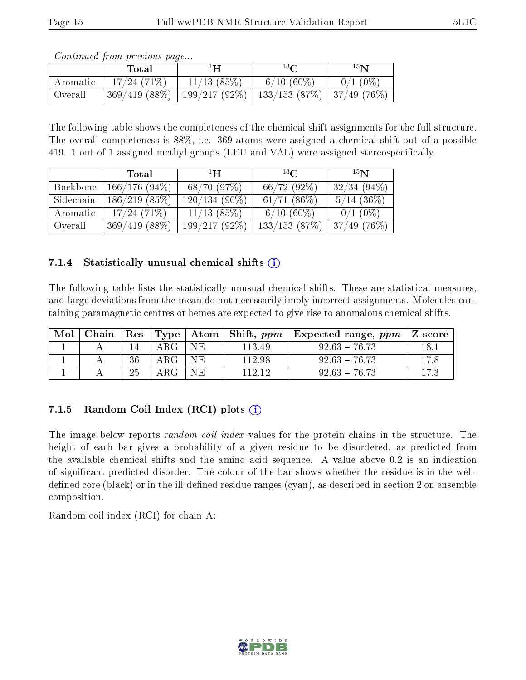|          | Total           | ŀН             | $13\Omega$              | $15\mathbf{N}$ |
|----------|-----------------|----------------|-------------------------|----------------|
| Aromatic | 17/24(71%)      | $11/13$ (85\%) | $6/10(60\%)$            | $0/1$ (0%)     |
| Overall  | $369/419(88\%)$ | 199/217(92%)   | $\frac{133}{153}$ (87%) | 137/49(76%)    |

Continued from previous page...

The following table shows the completeness of the chemical shift assignments for the full structure. The overall completeness is 88%, i.e. 369 atoms were assigned a chemical shift out of a possible 419. 1 out of 1 assigned methyl groups (LEU and VAL) were assigned stereospecifically.

|           | Total        | $\mathbf{H}^1$  | $^{13}C$      | 15 <sub>N</sub> |
|-----------|--------------|-----------------|---------------|-----------------|
| Backbone  | 166/176(94%) | 68/70(97%)      | $66/72(92\%)$ | $32/34(94\%)$   |
| Sidechain | 186/219(85%) | $120/134(90\%)$ | $61/71(86\%)$ | $5/14$ (36\%)   |
| Aromatic  | 17/24(71%)   | $11/13$ (85%)   | $6/10(60\%)$  | $0/1$ (0%)      |
| Overall   | 369/419(88%) | 199/217(92%)    | 133/153(87%)  | $37/49$ (76\%)  |

#### 7.1.4 Statistically unusual chemical shifts  $(i)$

The following table lists the statistically unusual chemical shifts. These are statistical measures, and large deviations from the mean do not necessarily imply incorrect assignments. Molecules containing paramagnetic centres or hemes are expected to give rise to anomalous chemical shifts.

| Mol |    |               |     |        | Chain   Res   Type   Atom   Shift, ppm   Expected range, ppm   Z-score |      |
|-----|----|---------------|-----|--------|------------------------------------------------------------------------|------|
|     |    | ${\rm ARG}^-$ | NE. | 113.49 | $92.63 - 76.73$                                                        |      |
|     | 36 | ${\rm ARG}^-$ | NE  | 112.98 | $92.63 - 76.73$                                                        | 17.8 |
|     | 25 | ARG-          | NE. | 112 12 | $92.63 - 76.73$                                                        |      |

### 7.1.5 Random Coil Index  $(RCI)$  plots  $(i)$

The image below reports *random coil index* values for the protein chains in the structure. The height of each bar gives a probability of a given residue to be disordered, as predicted from the available chemical shifts and the amino acid sequence. A value above 0.2 is an indication of signicant predicted disorder. The colour of the bar shows whether the residue is in the welldefined core (black) or in the ill-defined residue ranges (cyan), as described in section 2 on ensemble composition.

Random coil index (RCI) for chain A: